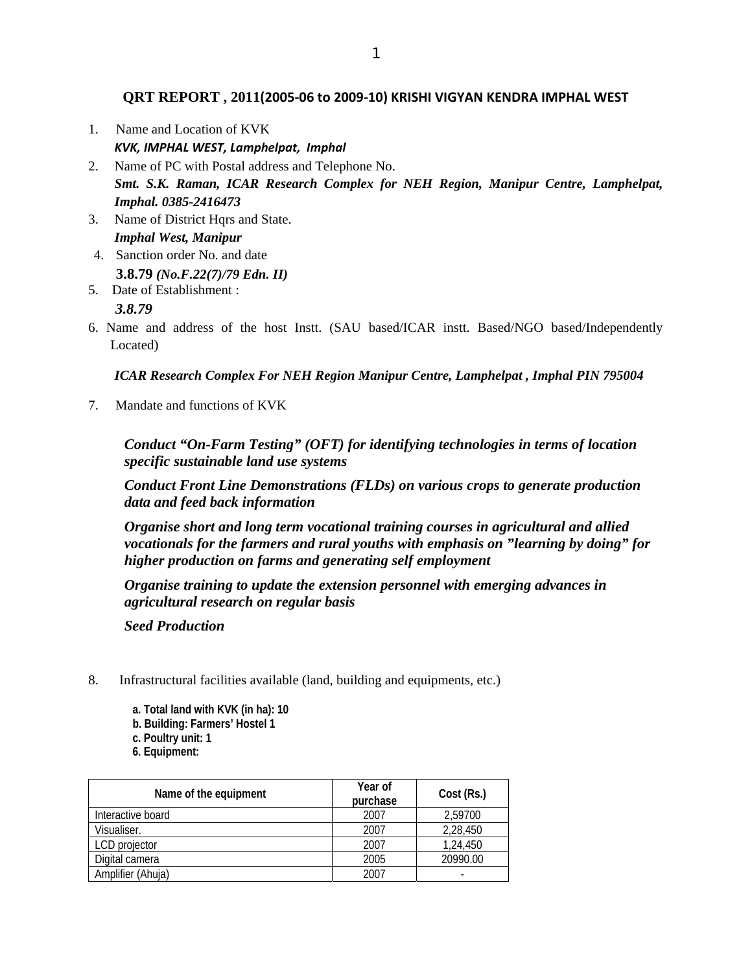**QRT REPORT , 2011(2005‐06 to 2009‐10) KRISHI VIGYAN KENDRA IMPHAL WEST**

- 1. Name and Location of KVK *KVK, IMPHAL WEST, Lamphelpat, Imphal*
- 2. Name of PC with Postal address and Telephone No. *Smt. S.K. Raman, ICAR Research Complex for NEH Region, Manipur Centre, Lamphelpat, Imphal. 0385-2416473*
- 3. Name of District Hqrs and State. *Imphal West, Manipur*
- 4. Sanction order No. and date **3.8.79** *(No.F.22(7)/79 Edn. II)*
- 5. Date of Establishment : *3.8.79*
- 6. Name and address of the host Instt. (SAU based/ICAR instt. Based/NGO based/Independently Located)

### *ICAR Research Complex For NEH Region Manipur Centre, Lamphelpat , Imphal PIN 795004*

7. Mandate and functions of KVK

*Conduct "On-Farm Testing" (OFT) for identifying technologies in terms of location specific sustainable land use systems* 

*Conduct Front Line Demonstrations (FLDs) on various crops to generate production data and feed back information* 

*Organise short and long term vocational training courses in agricultural and allied vocationals for the farmers and rural youths with emphasis on "learning by doing" for higher production on farms and generating self employment* 

*Organise training to update the extension personnel with emerging advances in agricultural research on regular basis* 

*Seed Production* 

- 8. Infrastructural facilities available (land, building and equipments, etc.)
	- **a. Total land with KVK (in ha): 10**
	- **b. Building: Farmers' Hostel 1**
	- **c. Poultry unit: 1**
	- **6. Equipment:**

| Name of the equipment | Year of<br>purchase | Cost (Rs.) |
|-----------------------|---------------------|------------|
| Interactive board     | 2007                | 2,59700    |
| Visualiser.           | 2007                | 2,28,450   |
| LCD projector         | 2007                | 1,24,450   |
| Digital camera        | 2005                | 20990.00   |
| Amplifier (Ahuja)     | 2007                |            |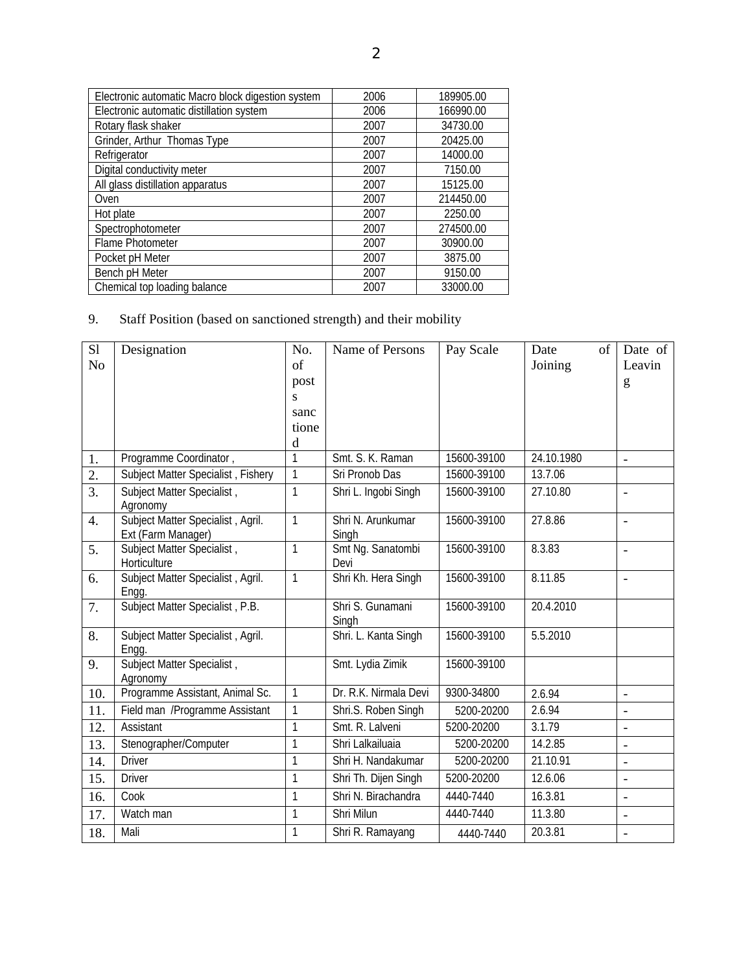| Electronic automatic Macro block digestion system | 2006 | 189905.00 |
|---------------------------------------------------|------|-----------|
| Electronic automatic distillation system          | 2006 | 166990.00 |
| Rotary flask shaker                               | 2007 | 34730.00  |
| Grinder, Arthur Thomas Type                       | 2007 | 20425.00  |
| Refrigerator                                      | 2007 | 14000.00  |
| Digital conductivity meter                        | 2007 | 7150.00   |
| All glass distillation apparatus                  | 2007 | 15125.00  |
| Oven                                              | 2007 | 214450.00 |
| Hot plate                                         | 2007 | 2250.00   |
| Spectrophotometer                                 | 2007 | 274500.00 |
| <b>Flame Photometer</b>                           | 2007 | 30900.00  |
| Pocket pH Meter                                   | 2007 | 3875.00   |
| Bench pH Meter                                    | 2007 | 9150.00   |
| Chemical top loading balance                      | 2007 | 33000.00  |

# 9. Staff Position (based on sanctioned strength) and their mobility

| S1               | Designation                                             | No.            | Name of Persons            | Pay Scale   | Date<br>of | Date of                  |
|------------------|---------------------------------------------------------|----------------|----------------------------|-------------|------------|--------------------------|
| N <sub>o</sub>   |                                                         | of             |                            |             | Joining    | Leavin                   |
|                  |                                                         | post           |                            |             |            | g                        |
|                  |                                                         | S              |                            |             |            |                          |
|                  |                                                         | sanc<br>tione  |                            |             |            |                          |
|                  |                                                         | d              |                            |             |            |                          |
| 1.               | Programme Coordinator,                                  | $\overline{1}$ | Smt. S. K. Raman           | 15600-39100 | 24.10.1980 | $\overline{a}$           |
| 2.               | Subject Matter Specialist, Fishery                      | $\mathbf{1}$   | Sri Pronob Das             | 15600-39100 | 13.7.06    |                          |
| $\overline{3}$ . | Subject Matter Specialist,                              | $\mathbf{1}$   | Shri L. Ingobi Singh       | 15600-39100 | 27.10.80   | $\overline{a}$           |
|                  | Agronomy                                                |                |                            |             |            |                          |
| $\overline{4}$ . | Subject Matter Specialist, Agril.<br>Ext (Farm Manager) | $\mathbf{1}$   | Shri N. Arunkumar<br>Singh | 15600-39100 | 27.8.86    | $\overline{a}$           |
| 5.               | Subject Matter Specialist,<br>Horticulture              | $\mathbf{1}$   | Smt Ng. Sanatombi<br>Devi  | 15600-39100 | 8.3.83     | $\overline{\phantom{0}}$ |
| 6.               | Subject Matter Specialist, Agril.<br>Engg.              | $\mathbf{1}$   | Shri Kh. Hera Singh        | 15600-39100 | 8.11.85    | L,                       |
| 7.               | Subject Matter Specialist, P.B.                         |                | Shri S. Gunamani<br>Singh  | 15600-39100 | 20.4.2010  |                          |
| 8.               | Subject Matter Specialist, Agril.<br>Engg.              |                | Shri. L. Kanta Singh       | 15600-39100 | 5.5.2010   |                          |
| 9.               | Subject Matter Specialist,<br>Agronomy                  |                | Smt. Lydia Zimik           | 15600-39100 |            |                          |
| 10.              | Programme Assistant, Animal Sc.                         | $\mathbf{1}$   | Dr. R.K. Nirmala Devi      | 9300-34800  | 2.6.94     | $\overline{\phantom{0}}$ |
| 11.              | Field man /Programme Assistant                          | 1              | Shri.S. Roben Singh        | 5200-20200  | 2.6.94     | $\overline{a}$           |
| 12.              | Assistant                                               | $\mathbf{1}$   | Smt. R. Lalveni            | 5200-20200  | 3.1.79     | $\overline{\phantom{0}}$ |
| 13.              | Stenographer/Computer                                   | $\mathbf{1}$   | Shri Lalkailuaia           | 5200-20200  | 14.2.85    | $\overline{\phantom{0}}$ |
| 14.              | <b>Driver</b>                                           | $\mathbf{1}$   | Shri H. Nandakumar         | 5200-20200  | 21.10.91   | L,                       |
| 15.              | <b>Driver</b>                                           | $\mathbf{1}$   | Shri Th. Dijen Singh       | 5200-20200  | 12.6.06    | $\overline{a}$           |
| 16.              | Cook                                                    | $\mathbf{1}$   | Shri N. Birachandra        | 4440-7440   | 16.3.81    | $\frac{1}{2}$            |
| 17.              | Watch man                                               | $\mathbf{1}$   | Shri Milun                 | 4440-7440   | 11.3.80    | $\overline{a}$           |
| 18.              | Mali                                                    | 1              | Shri R. Ramayang           | 4440-7440   | 20.3.81    |                          |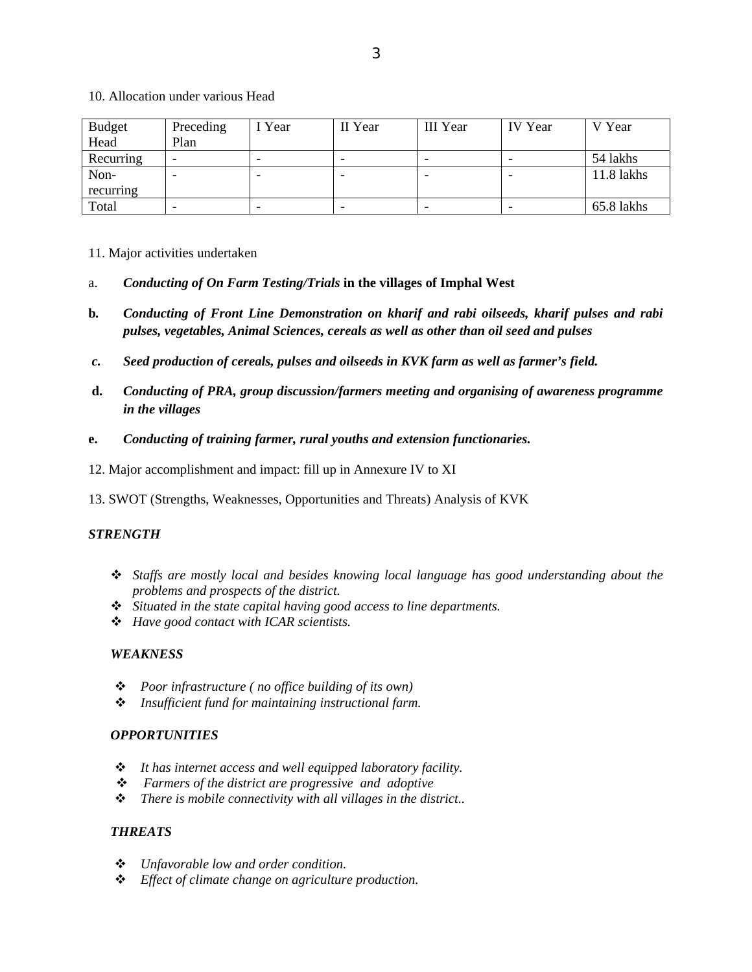10. Allocation under various Head

| <b>Budget</b> | Preceding | Year                     | II Year | III Year | <b>IV</b> Year           | V Year     |
|---------------|-----------|--------------------------|---------|----------|--------------------------|------------|
| Head          | Plan      |                          |         |          |                          |            |
| Recurring     | -         | $\overline{\phantom{0}}$ | -       |          | $\overline{\phantom{0}}$ | 54 lakhs   |
| Non-          |           |                          |         |          |                          | 11.8 lakhs |
| recurring     |           |                          |         |          |                          |            |
| Total         |           | $\overline{\phantom{a}}$ | -       |          | $\overline{\phantom{a}}$ | 65.8 lakhs |

- 11. Major activities undertaken
- a. *Conducting of On Farm Testing/Trials* **in the villages of Imphal West**
- **b***. Conducting of Front Line Demonstration on kharif and rabi oilseeds, kharif pulses and rabi pulses, vegetables, Animal Sciences, cereals as well as other than oil seed and pulses*
- *c. Seed production of cereals, pulses and oilseeds in KVK farm as well as farmer's field.*
- **d.** *Conducting of PRA, group discussion/farmers meeting and organising of awareness programme in the villages*
- **e.** *Conducting of training farmer, rural youths and extension functionaries.*
- 12. Major accomplishment and impact: fill up in Annexure IV to XI
- 13. SWOT (Strengths, Weaknesses, Opportunities and Threats) Analysis of KVK

### *STRENGTH*

- *Staffs are mostly local and besides knowing local language has good understanding about the problems and prospects of the district.*
- *Situated in the state capital having good access to line departments.*
- *Have good contact with ICAR scientists.*

### *WEAKNESS*

- *Poor infrastructure ( no office building of its own)*
- *Insufficient fund for maintaining instructional farm.*

### *OPPORTUNITIES*

- *It has internet access and well equipped laboratory facility.*
- *Farmers of the district are progressive and adoptive*
- *There is mobile connectivity with all villages in the district..*

### *THREATS*

- *Unfavorable low and order condition.*
- *Effect of climate change on agriculture production.*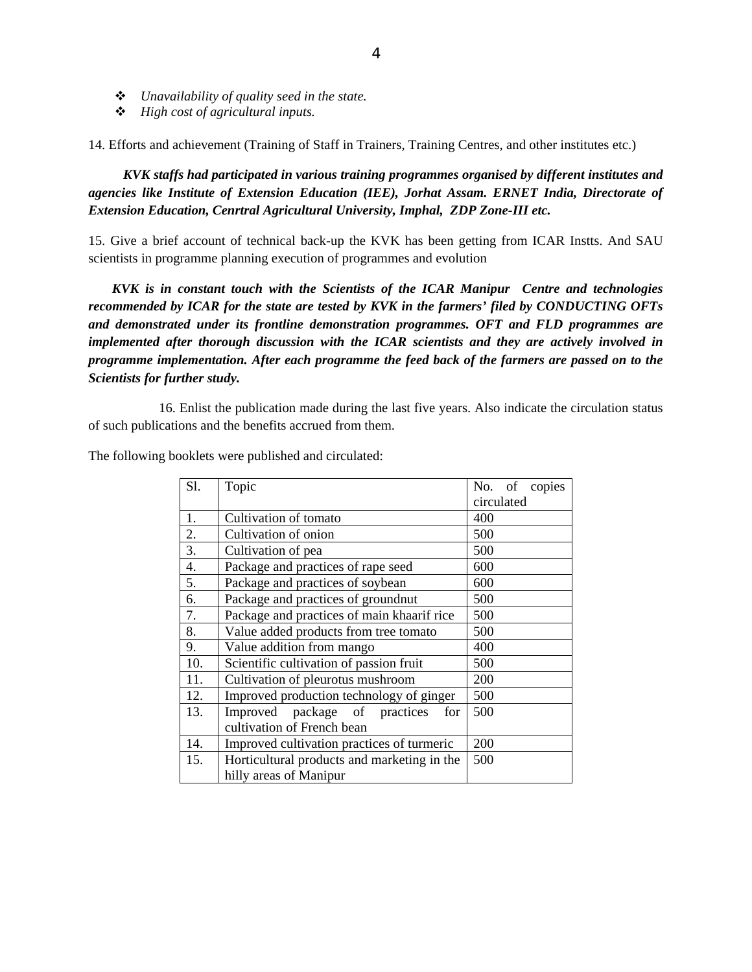- *Unavailability of quality seed in the state.*
- *High cost of agricultural inputs.*

14. Efforts and achievement (Training of Staff in Trainers, Training Centres, and other institutes etc.)

*KVK staffs had participated in various training programmes organised by different institutes and agencies like Institute of Extension Education (IEE), Jorhat Assam. ERNET India, Directorate of Extension Education, Cenrtral Agricultural University, Imphal, ZDP Zone-III etc.* 

15. Give a brief account of technical back-up the KVK has been getting from ICAR Instts. And SAU scientists in programme planning execution of programmes and evolution

 *KVK is in constant touch with the Scientists of the ICAR Manipur Centre and technologies recommended by ICAR for the state are tested by KVK in the farmers' filed by CONDUCTING OFTs and demonstrated under its frontline demonstration programmes. OFT and FLD programmes are implemented after thorough discussion with the ICAR scientists and they are actively involved in programme implementation. After each programme the feed back of the farmers are passed on to the Scientists for further study.* 

16. Enlist the publication made during the last five years. Also indicate the circulation status of such publications and the benefits accrued from them.

The following booklets were published and circulated:

| S1. | Topic                                       | No. of copies |
|-----|---------------------------------------------|---------------|
|     |                                             | circulated    |
| 1.  | Cultivation of tomato                       | 400           |
| 2.  | Cultivation of onion                        | 500           |
| 3.  | Cultivation of pea                          | 500           |
| 4.  | Package and practices of rape seed          | 600           |
| 5.  | Package and practices of soybean            | 600           |
| 6.  | Package and practices of groundnut          | 500           |
| 7.  | Package and practices of main khaarif rice  | 500           |
| 8.  | Value added products from tree tomato       | 500           |
| 9.  | Value addition from mango                   | 400           |
| 10. | Scientific cultivation of passion fruit     | 500           |
| 11. | Cultivation of pleurotus mushroom           | 200           |
| 12. | Improved production technology of ginger    | 500           |
| 13. | Improved package of practices<br>for        | 500           |
|     | cultivation of French bean                  |               |
| 14. | Improved cultivation practices of turmeric  | 200           |
| 15. | Horticultural products and marketing in the | 500           |
|     | hilly areas of Manipur                      |               |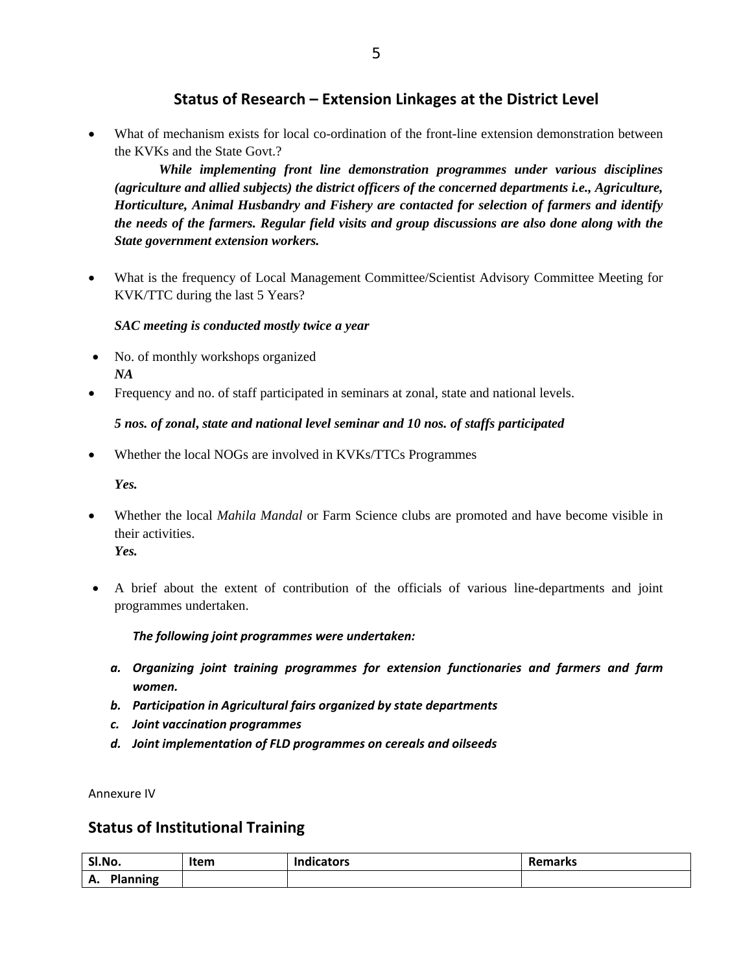# **Status of Research – Extension Linkages at the District Level**

 What of mechanism exists for local co-ordination of the front-line extension demonstration between the KVKs and the State Govt.?

*While implementing front line demonstration programmes under various disciplines (agriculture and allied subjects) the district officers of the concerned departments i.e., Agriculture, Horticulture, Animal Husbandry and Fishery are contacted for selection of farmers and identify the needs of the farmers. Regular field visits and group discussions are also done along with the State government extension workers.* 

 What is the frequency of Local Management Committee/Scientist Advisory Committee Meeting for KVK/TTC during the last 5 Years?

### *SAC meeting is conducted mostly twice a year*

- No. of monthly workshops organized *NA*
- Frequency and no. of staff participated in seminars at zonal, state and national levels.

### *5 nos. of zonal***,** *state and national level seminar and 10 nos. of staffs participated*

Whether the local NOGs are involved in KVKs/TTCs Programmes

*Yes.* 

- Whether the local *Mahila Mandal* or Farm Science clubs are promoted and have become visible in their activities. *Yes.*
- A brief about the extent of contribution of the officials of various line-departments and joint programmes undertaken.

### *The following joint programmes were undertaken:*

- *a. Organizing joint training programmes for extension functionaries and farmers and farm women.*
- *b. Participation in Agricultural fairs organized by state departments*
- *c. Joint vaccination programmes*
- *d. Joint implementation of FLD programmes on cereals and oilseeds*

Annexure IV

## **Status of Institutional Training**

| Sl.No.                                       | Item | <b>Indicators</b> | <b>Remarks</b> |  |  |
|----------------------------------------------|------|-------------------|----------------|--|--|
| ⋀<br>anning<br><u>веника по станите на п</u> |      |                   |                |  |  |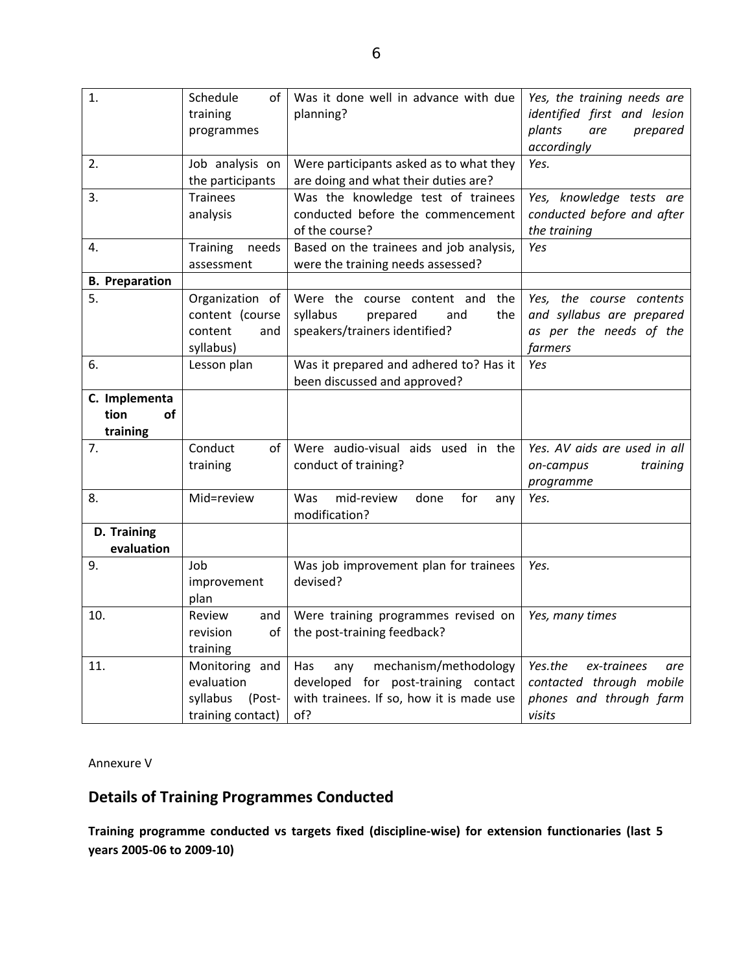| identified first and lesion<br>prepared |
|-----------------------------------------|
|                                         |
|                                         |
|                                         |
|                                         |
|                                         |
| Yes, knowledge tests are                |
| conducted before and after              |
|                                         |
|                                         |
|                                         |
| the course contents                     |
| and syllabus are prepared               |
| as per the needs of the                 |
|                                         |
|                                         |
|                                         |
|                                         |
|                                         |
|                                         |
| Yes. AV aids are used in all            |
| training                                |
|                                         |
|                                         |
|                                         |
|                                         |
|                                         |
|                                         |
|                                         |
|                                         |
|                                         |
|                                         |
| ex-trainees<br>are                      |
| contacted through mobile                |
| phones and through farm                 |
|                                         |
|                                         |

Annexure V

# **Details of Training Programmes Conducted**

**Training programme conducted vs targets fixed (discipline‐wise) for extension functionaries (last 5 years 2005‐06 to 2009‐10)**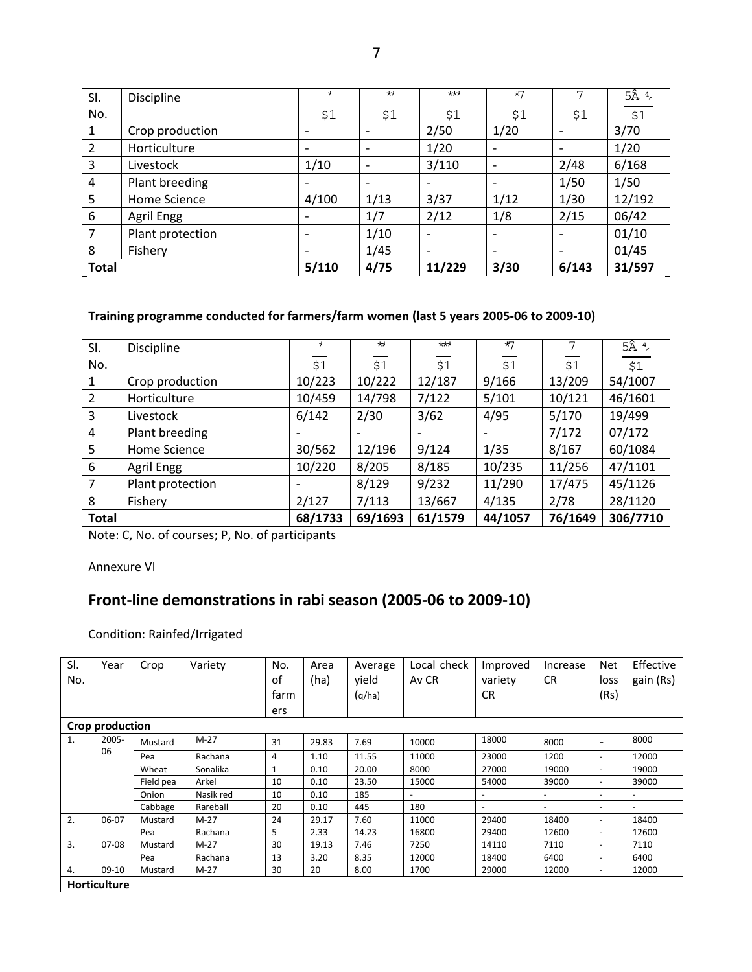| SI.            | Discipline       | ÷.                       | $\star$                  | $**$                     | $*7$                         |       | $5\hat{A}$ $4$ ,   |
|----------------|------------------|--------------------------|--------------------------|--------------------------|------------------------------|-------|--------------------|
| No.            |                  | \$1                      | \$1                      | \$1                      | \$1                          | \$1   | $\overline{$}$ \$1 |
|                | Crop production  | $\qquad \qquad$          |                          | 2/50                     | 1/20                         |       | 3/70               |
| $\overline{2}$ | Horticulture     | $\qquad \qquad$          | $\overline{\phantom{a}}$ | 1/20                     | $\qquad \qquad \blacksquare$ |       | 1/20               |
| 3              | Livestock        | 1/10                     | $\overline{\phantom{a}}$ | 3/110                    | $\qquad \qquad \blacksquare$ | 2/48  | 6/168              |
| 4              | Plant breeding   | $\qquad \qquad$          | $\overline{\phantom{a}}$ | $\overline{\phantom{a}}$ | $\overline{\phantom{a}}$     | 1/50  | 1/50               |
| 5              | Home Science     | 4/100                    | 1/13                     | 3/37                     | 1/12                         | 1/30  | 12/192             |
| 6              | Agril Engg       |                          | 1/7                      | 2/12                     | 1/8                          | 2/15  | 06/42              |
| $\overline{7}$ | Plant protection | $\overline{\phantom{0}}$ | 1/10                     | $\overline{\phantom{a}}$ | $\overline{\phantom{a}}$     |       | 01/10              |
| 8              | Fishery          |                          | 1/45                     | $\overline{\phantom{a}}$ | $\overline{\phantom{a}}$     |       | 01/45              |
| <b>Total</b>   |                  | 5/110                    | 4/75                     | 11/229                   | 3/30                         | 6/143 | 31/597             |

### **Training programme conducted for farmers/farm women (last 5 years 2005‐06 to 2009‐10)**

| SI.          | <b>Discipline</b> | ¥               | ₩       | $**$    | $*7$    | 7       | $5\hat{A}$ $4$ , |
|--------------|-------------------|-----------------|---------|---------|---------|---------|------------------|
| No.          |                   | \$1             | \$1     | \$1     | \$1     | \$1     | \$1              |
| 1            | Crop production   | 10/223          | 10/222  | 12/187  | 9/166   | 13/209  | 54/1007          |
| 2            | Horticulture      | 10/459          | 14/798  | 7/122   | 5/101   | 10/121  | 46/1601          |
| 3            | Livestock         | 6/142           | 2/30    | 3/62    | 4/95    | 5/170   | 19/499           |
| 4            | Plant breeding    | $\qquad \qquad$ |         |         |         | 7/172   | 07/172           |
| 5            | Home Science      | 30/562          | 12/196  | 9/124   | 1/35    | 8/167   | 60/1084          |
| 6            | Agril Engg        | 10/220          | 8/205   | 8/185   | 10/235  | 11/256  | 47/1101          |
| 7            | Plant protection  | $\qquad \qquad$ | 8/129   | 9/232   | 11/290  | 17/475  | 45/1126          |
| 8            | Fishery           | 2/127           | 7/113   | 13/667  | 4/135   | 2/78    | 28/1120          |
| <b>Total</b> |                   | 68/1733         | 69/1693 | 61/1579 | 44/1057 | 76/1649 | 306/7710         |

Note: C, No. of courses; P, No. of participants

Annexure VI

# **Front‐line demonstrations in rabi season (2005‐06 to 2009‐10)**

Condition: Rainfed/Irrigated

| SI.            | Year                | Crop      | Variety   | No.  | Area  | Average | Local check              | Improved                 | Increase  | <b>Net</b>               | Effective |
|----------------|---------------------|-----------|-----------|------|-------|---------|--------------------------|--------------------------|-----------|--------------------------|-----------|
| No.            |                     |           |           | οf   | (ha)  | vield   | Av CR                    | variety                  | <b>CR</b> | loss                     | gain (Rs) |
|                |                     |           |           | farm |       | (q/ha)  |                          | CR.                      |           | (Rs)                     |           |
|                |                     |           |           | ers  |       |         |                          |                          |           |                          |           |
|                | Crop production     |           |           |      |       |         |                          |                          |           |                          |           |
| $\mathbf{1}$ . | $2005 -$            | Mustard   | $M-27$    | 31   | 29.83 | 7.69    | 10000                    | 18000                    | 8000      | $\overline{\phantom{0}}$ | 8000      |
|                | 06                  | Pea       | Rachana   | 4    | 1.10  | 11.55   | 11000                    | 23000                    | 1200      | $\overline{\phantom{a}}$ | 12000     |
|                |                     | Wheat     | Sonalika  |      | 0.10  | 20.00   | 8000                     | 27000                    | 19000     | $\overline{\phantom{a}}$ | 19000     |
|                |                     | Field pea | Arkel     | 10   | 0.10  | 23.50   | 15000                    | 54000                    | 39000     | $\overline{\phantom{0}}$ | 39000     |
|                |                     | Onion     | Nasik red | 10   | 0.10  | 185     | $\overline{\phantom{a}}$ |                          | ٠         | ٠                        |           |
|                |                     | Cabbage   | Rareball  | 20   | 0.10  | 445     | 180                      | $\overline{\phantom{a}}$ | -         | ٠                        |           |
| 2.             | 06-07               | Mustard   | $M-27$    | 24   | 29.17 | 7.60    | 11000                    | 29400                    | 18400     | $\overline{\phantom{0}}$ | 18400     |
|                |                     | Pea       | Rachana   | 5    | 2.33  | 14.23   | 16800                    | 29400                    | 12600     | $\overline{\phantom{a}}$ | 12600     |
| 3.             | $07-08$             | Mustard   | $M-27$    | 30   | 19.13 | 7.46    | 7250                     | 14110                    | 7110      | $\overline{\phantom{0}}$ | 7110      |
|                |                     | Pea       | Rachana   | 13   | 3.20  | 8.35    | 12000                    | 18400                    | 6400      | $\overline{\phantom{0}}$ | 6400      |
| 4.             | $09-10$             | Mustard   | $M-27$    | 30   | 20    | 8.00    | 1700                     | 29000                    | 12000     | $\overline{\phantom{0}}$ | 12000     |
|                | <b>Horticulture</b> |           |           |      |       |         |                          |                          |           |                          |           |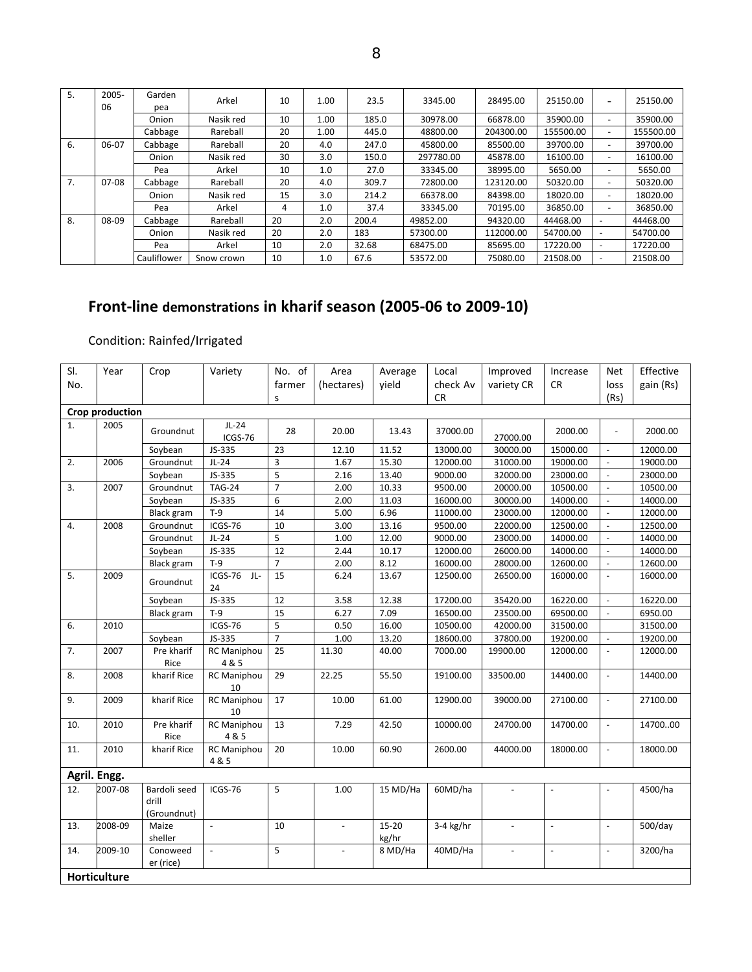| 5. | $2005 -$ | Garden      | Arkel      | 10 | 1.00 | 23.5  | 3345.00   | 28495.00  | 25150.00  | $\overline{\phantom{0}}$ | 25150.00  |
|----|----------|-------------|------------|----|------|-------|-----------|-----------|-----------|--------------------------|-----------|
|    | 06       | pea         |            |    |      |       |           |           |           |                          |           |
|    |          | Onion       | Nasik red  | 10 | 1.00 | 185.0 | 30978.00  | 66878.00  | 35900.00  |                          | 35900.00  |
|    |          | Cabbage     | Rareball   | 20 | 1.00 | 445.0 | 48800.00  | 204300.00 | 155500.00 | $\overline{\phantom{a}}$ | 155500.00 |
| 6. | $06-07$  | Cabbage     | Rareball   | 20 | 4.0  | 247.0 | 45800.00  | 85500.00  | 39700.00  | $\overline{\phantom{0}}$ | 39700.00  |
|    |          | Onion       | Nasik red  | 30 | 3.0  | 150.0 | 297780.00 | 45878.00  | 16100.00  | $\overline{\phantom{0}}$ | 16100.00  |
|    |          | Pea         | Arkel      | 10 | 1.0  | 27.0  | 33345.00  | 38995.00  | 5650.00   | $\overline{\phantom{0}}$ | 5650.00   |
| 7. | 07-08    | Cabbage     | Rareball   | 20 | 4.0  | 309.7 | 72800.00  | 123120.00 | 50320.00  | $\overline{\phantom{a}}$ | 50320.00  |
|    |          | Onion       | Nasik red  | 15 | 3.0  | 214.2 | 66378.00  | 84398.00  | 18020.00  | $\overline{\phantom{a}}$ | 18020.00  |
|    |          | Pea         | Arkel      | 4  | 1.0  | 37.4  | 33345.00  | 70195.00  | 36850.00  | $\overline{\phantom{0}}$ | 36850.00  |
| 8. | 08-09    | Cabbage     | Rareball   | 20 | 2.0  | 200.4 | 49852.00  | 94320.00  | 44468.00  | $\overline{a}$           | 44468.00  |
|    |          | Onion       | Nasik red  | 20 | 2.0  | 183   | 57300.00  | 112000.00 | 54700.00  | $\overline{a}$           | 54700.00  |
|    |          | Pea         | Arkel      | 10 | 2.0  | 32.68 | 68475.00  | 85695.00  | 17220.00  | $\overline{\phantom{a}}$ | 17220.00  |
|    |          | Cauliflower | Snow crown | 10 | 1.0  | 67.6  | 53572.00  | 75080.00  | 21508.00  | $\overline{\phantom{a}}$ | 21508.00  |

# **Front‐line demonstrations in kharif season (2005‐06 to 2009‐10)**

# Condition: Rainfed/Irrigated

| SI. | Year                | Crop                                 | Variety                     | No. of         | Area                | Average            | Local     | Improved                 | Increase                 | <b>Net</b>               | Effective |
|-----|---------------------|--------------------------------------|-----------------------------|----------------|---------------------|--------------------|-----------|--------------------------|--------------------------|--------------------------|-----------|
| No. |                     |                                      |                             | farmer         | (hectares)          | vield              | check Av  | variety CR               | <b>CR</b>                | loss                     | gain (Rs) |
|     |                     |                                      |                             | S              |                     |                    | <b>CR</b> |                          |                          | (Rs)                     |           |
|     | Crop production     |                                      |                             |                |                     |                    |           |                          |                          |                          |           |
| 1.  | 2005                |                                      | $JL-24$                     |                |                     |                    |           |                          |                          |                          |           |
|     |                     | Groundnut                            | ICGS-76                     | 28             | 20.00               | 13.43              | 37000.00  | 27000.00                 | 2000.00                  | $\blacksquare$           | 2000.00   |
|     |                     | Soybean                              | JS-335                      | 23             | 12.10               | 11.52              | 13000.00  | 30000.00                 | 15000.00                 | $\omega$                 | 12000.00  |
| 2.  | 2006                | Groundnut                            | $JL-24$                     | 3              | 1.67                | 15.30              | 12000.00  | 31000.00                 | 19000.00                 | $\overline{\phantom{a}}$ | 19000.00  |
|     |                     | Soybean                              | JS-335                      | 5              | 2.16                | 13.40              | 9000.00   | 32000.00                 | 23000.00                 | $\omega$                 | 23000.00  |
| 3.  | 2007                | Groundnut                            | <b>TAG-24</b>               | $\overline{7}$ | 2.00                | 10.33              | 9500.00   | 20000.00                 | 10500.00                 |                          | 10500.00  |
|     |                     | Soybean                              | JS-335                      | 6              | 2.00                | 11.03              | 16000.00  | 30000.00                 | 14000.00                 | $\sim$                   | 14000.00  |
|     |                     | <b>Black gram</b>                    | $T-9$                       | 14             | 5.00                | 6.96               | 11000.00  | 23000.00                 | 12000.00                 | $\omega$                 | 12000.00  |
| 4.  | 2008                | Groundnut                            | ICGS-76                     | 10             | 3.00                | 13.16              | 9500.00   | 22000.00                 | 12500.00                 | $\overline{\phantom{a}}$ | 12500.00  |
|     |                     | Groundnut                            | $JL-24$                     | 5              | 1.00                | 12.00              | 9000.00   | 23000.00                 | 14000.00                 | $\omega$                 | 14000.00  |
|     |                     | Soybean                              | JS-335                      | 12             | 2.44                | 10.17              | 12000.00  | 26000.00                 | 14000.00                 |                          | 14000.00  |
|     |                     | <b>Black gram</b>                    | $T-9$                       | $\overline{7}$ | 2.00                | 8.12               | 16000.00  | 28000.00                 | 12600.00                 | $\omega$                 | 12600.00  |
| 5.  | 2009                | Groundnut                            | ICGS-76<br>JL-<br>24        | 15             | 6.24                | 13.67              | 12500.00  | 26500.00                 | 16000.00                 | $\blacksquare$           | 16000.00  |
|     |                     | Soybean                              | JS-335                      | 12             | 3.58                | 12.38              | 17200.00  | 35420.00                 | 16220.00                 | $\sim$                   | 16220.00  |
|     |                     | Black gram                           | $T-9$                       | 15             | 6.27                | 7.09               | 16500.00  | 23500.00                 | 69500.00                 | $\omega$                 | 6950.00   |
| 6.  | 2010                |                                      | ICGS-76                     | 5              | 0.50                | 16.00              | 10500.00  | 42000.00                 | 31500.00                 |                          | 31500.00  |
|     |                     | Soybean                              | JS-335                      | $\overline{7}$ | 1.00                | 13.20              | 18600.00  | 37800.00                 | 19200.00                 | $\blacksquare$           | 19200.00  |
| 7.  | 2007                | Pre kharif<br>Rice                   | <b>RC Maniphou</b><br>4 & 5 | 25             | 11.30               | 40.00              | 7000.00   | 19900.00                 | 12000.00                 | $\omega$                 | 12000.00  |
| 8.  | 2008                | kharif Rice                          | RC Maniphou<br>10           | 29             | 22.25               | 55.50              | 19100.00  | 33500.00                 | 14400.00                 | $\omega$                 | 14400.00  |
| 9.  | 2009                | kharif Rice                          | RC Maniphou<br>10           | 17             | 10.00               | 61.00              | 12900.00  | 39000.00                 | 27100.00                 | $\overline{\phantom{a}}$ | 27100.00  |
| 10. | 2010                | Pre kharif<br>Rice                   | RC Maniphou<br>4 & 5        | 13             | 7.29                | 42.50              | 10000.00  | 24700.00                 | 14700.00                 | $\omega$                 | 1470000   |
| 11. | 2010                | kharif Rice                          | <b>RC Maniphou</b><br>4 & 5 | 20             | 10.00               | 60.90              | 2600.00   | 44000.00                 | 18000.00                 | $\omega$                 | 18000.00  |
|     | Agril. Engg.        |                                      |                             |                |                     |                    |           |                          |                          |                          |           |
| 12. | 2007-08             | Bardoli seed<br>drill<br>(Groundnut) | ICGS-76                     | 5              | 1.00                | $15 \text{ MD/Ha}$ | 60MD/ha   |                          | L,                       |                          | 4500/ha   |
| 13. | 2008-09             | Maize<br>sheller                     | $\omega$                    | 10             | $\bar{\phantom{a}}$ | $15 - 20$<br>kg/hr | 3-4 kg/hr | $\overline{\phantom{a}}$ | $\bar{\phantom{a}}$      | $\omega$                 | 500/day   |
| 14. | 2009-10             | Conoweed<br>er (rice)                | $\omega$                    | 5              | $\omega$            | 8 MD/Ha            | 40MD/Ha   | $\overline{\phantom{a}}$ | $\overline{\phantom{a}}$ | $\omega$                 | 3200/ha   |
|     | <b>Horticulture</b> |                                      |                             |                |                     |                    |           |                          |                          |                          |           |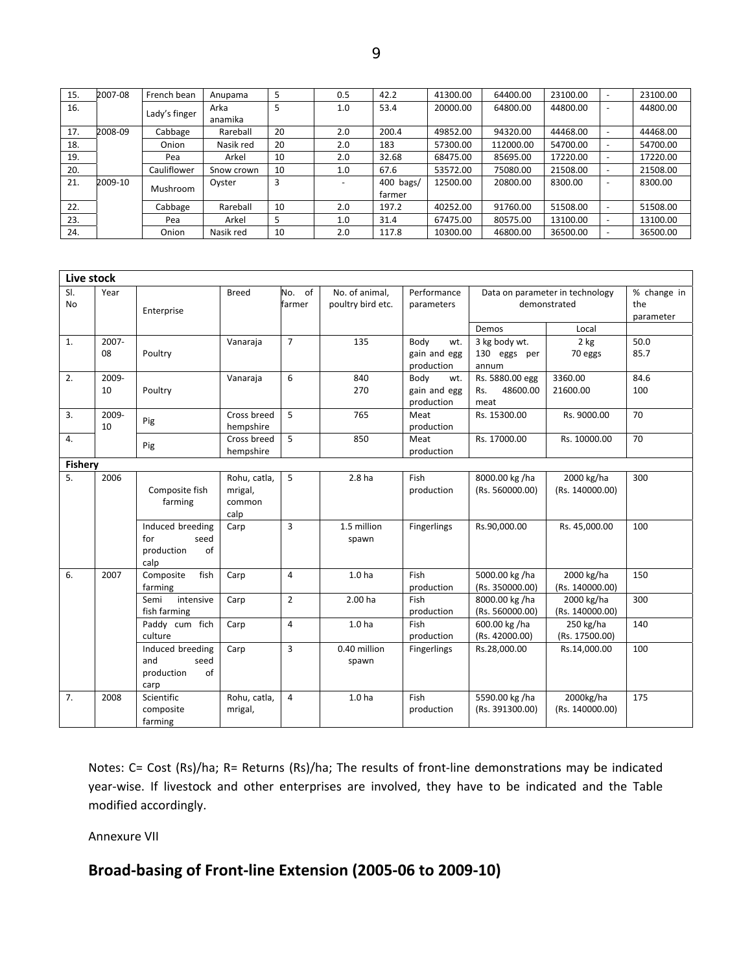| 15. | 2007-08 | French bean   | Anupama    | 5  | 0.5 | 42.2      | 41300.00 | 64400.00  | 23100.00 | - | 23100.00 |
|-----|---------|---------------|------------|----|-----|-----------|----------|-----------|----------|---|----------|
| 16. |         | Lady's finger | Arka       | 5  | 1.0 | 53.4      | 20000.00 | 64800.00  | 44800.00 | - | 44800.00 |
|     |         |               | anamika    |    |     |           |          |           |          |   |          |
| 17. | 2008-09 | Cabbage       | Rareball   | 20 | 2.0 | 200.4     | 49852.00 | 94320.00  | 44468.00 |   | 44468.00 |
| 18. |         | Onion         | Nasik red  | 20 | 2.0 | 183       | 57300.00 | 112000.00 | 54700.00 |   | 54700.00 |
| 19. |         | Pea           | Arkel      | 10 | 2.0 | 32.68     | 68475.00 | 85695.00  | 17220.00 |   | 17220.00 |
| 20. |         | Cauliflower   | Snow crown | 10 | 1.0 | 67.6      | 53572.00 | 75080.00  | 21508.00 |   | 21508.00 |
| 21. | 2009-10 | Mushroom      | Oyster     | 3  |     | 400 bags/ | 12500.00 | 20800.00  | 8300.00  |   | 8300.00  |
|     |         |               |            |    |     | farmer    |          |           |          |   |          |
| 22. |         | Cabbage       | Rareball   | 10 | 2.0 | 197.2     | 40252.00 | 91760.00  | 51508.00 |   | 51508.00 |
| 23. |         | Pea           | Arkel      | 5  | 1.0 | 31.4      | 67475.00 | 80575.00  | 13100.00 |   | 13100.00 |
| 24. |         | Onion         | Nasik red  | 10 | 2.0 | 117.8     | 10300.00 | 46800.00  | 36500.00 |   | 36500.00 |

| Live stock       |             |                                                             |                                           |                  |                                     |                                           |                                            |                                                 |                                 |
|------------------|-------------|-------------------------------------------------------------|-------------------------------------------|------------------|-------------------------------------|-------------------------------------------|--------------------------------------------|-------------------------------------------------|---------------------------------|
| SI.<br><b>No</b> | Year        | Enterprise                                                  | <b>Breed</b>                              | No. of<br>farmer | No. of animal,<br>poultry bird etc. | Performance<br>parameters                 |                                            | Data on parameter in technology<br>demonstrated | % change in<br>the<br>parameter |
|                  |             |                                                             |                                           |                  |                                     |                                           | Demos                                      | Local                                           |                                 |
| $\mathbf{1}$ .   | 2007-<br>08 | Poultry                                                     | Vanaraja                                  | $\overline{7}$   | 135                                 | Body<br>wt.<br>gain and egg<br>production | 3 kg body wt.<br>130 eggs per<br>annum     | $2$ kg<br>70 eggs                               | 50.0<br>85.7                    |
| 2.               | 2009-<br>10 | Poultry                                                     | Vanaraja                                  | 6                | 840<br>270                          | Body<br>wt.<br>gain and egg<br>production | Rs. 5880.00 egg<br>48600.00<br>Rs.<br>meat | 3360.00<br>21600.00                             | 84.6<br>100                     |
| 3.               | 2009-<br>10 | Pig                                                         | Cross breed<br>hempshire                  | 5                | 765                                 | Meat<br>production                        | Rs. 15300.00                               | Rs. 9000.00                                     | 70                              |
| 4.               |             | Pig                                                         | Cross breed<br>hempshire                  | 5                | 850                                 | Meat<br>production                        | Rs. 17000.00                               | Rs. 10000.00                                    | 70                              |
| Fishery          |             |                                                             |                                           |                  |                                     |                                           |                                            |                                                 |                                 |
| 5.               | 2006        | Composite fish<br>farming                                   | Rohu, catla,<br>mrigal,<br>common<br>calp | 5                | 2.8 <sub>ha</sub>                   | Fish<br>production                        | 8000.00 kg /ha<br>(Rs. 560000.00)          | 2000 kg/ha<br>(Rs. 140000.00)                   | 300                             |
|                  |             | Induced breeding<br>for<br>seed<br>production<br>of<br>calp | Carp                                      | 3                | 1.5 million<br>spawn                | Fingerlings                               | Rs.90,000.00                               | Rs. 45,000.00                                   | 100                             |
| 6.               | 2007        | Composite<br>fish<br>farming                                | Carp                                      | 4                | 1.0 <sub>ha</sub>                   | Fish<br>production                        | 5000.00 kg /ha<br>(Rs. 350000.00)          | 2000 kg/ha<br>(Rs. 140000.00)                   | 150                             |
|                  |             | Semi<br>intensive<br>fish farming                           | Carp                                      | $\overline{2}$   | 2.00 ha                             | Fish<br>production                        | 8000.00 kg /ha<br>(Rs. 560000.00)          | 2000 kg/ha<br>(Rs. 140000.00)                   | 300                             |
|                  |             | Paddy cum fich<br>culture                                   | Carp                                      | 4                | 1.0 <sub>ha</sub>                   | Fish<br>production                        | 600.00 kg /ha<br>(Rs. 42000.00)            | 250 kg/ha<br>(Rs. 17500.00)                     | 140                             |
|                  |             | Induced breeding<br>and<br>seed<br>of<br>production<br>carp | Carp                                      | 3                | 0.40 million<br>spawn               | <b>Fingerlings</b>                        | Rs.28,000.00                               | Rs.14,000.00                                    | 100                             |
| 7.               | 2008        | Scientific<br>composite<br>farming                          | Rohu, catla,<br>mrigal,                   | $\overline{4}$   | 1.0 <sub>ha</sub>                   | Fish<br>production                        | 5590.00 kg /ha<br>(Rs. 391300.00)          | 2000kg/ha<br>(Rs. 140000.00)                    | 175                             |

Notes: C= Cost (Rs)/ha; R= Returns (Rs)/ha; The results of front‐line demonstrations may be indicated year-wise. If livestock and other enterprises are involved, they have to be indicated and the Table modified accordingly.

Annexure VII

# **Broad‐basing of Front‐line Extension (2005‐06 to 2009‐10)**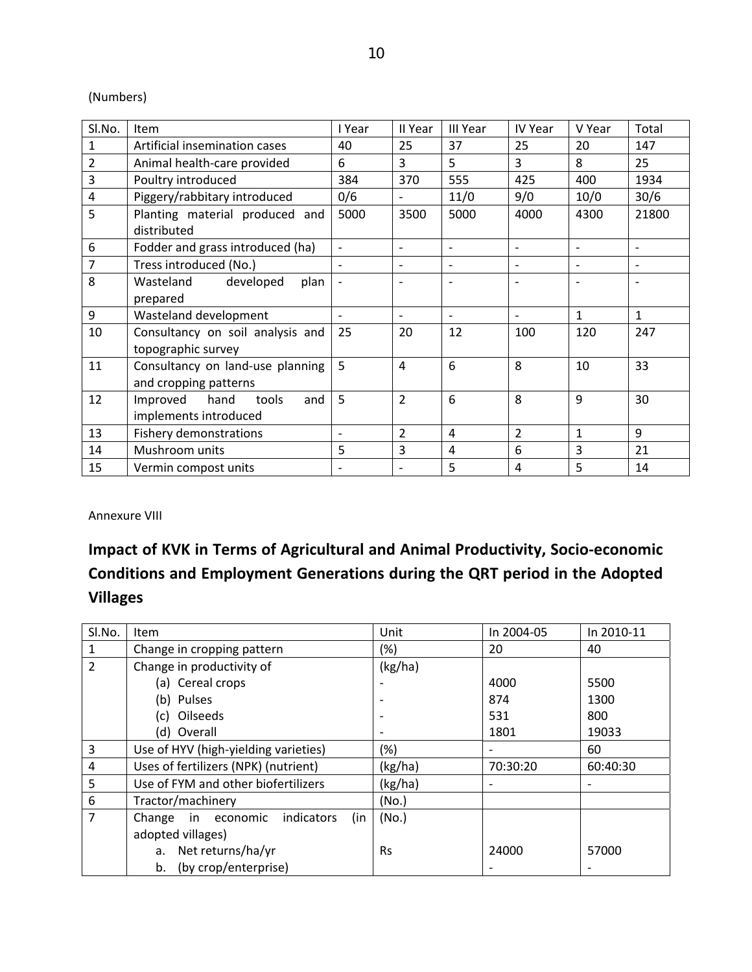(Numbers)

| Sl.No.         | <b>Item</b>                      | I Year                   | II Year                  | III Year                 | IV Year                  | V Year                   | Total                        |
|----------------|----------------------------------|--------------------------|--------------------------|--------------------------|--------------------------|--------------------------|------------------------------|
| $\mathbf{1}$   | Artificial insemination cases    | 40                       | 25                       | 37                       | 25                       | 20                       | 147                          |
| 2              | Animal health-care provided      | 6                        | 3                        | 5                        | $\overline{3}$           | 8                        | 25                           |
| 3              | Poultry introduced               | 384                      | 370                      | 555                      | 425                      | 400                      | 1934                         |
| $\overline{4}$ | Piggery/rabbitary introduced     | 0/6                      |                          | 11/0                     | 9/0                      | 10/0                     | 30/6                         |
| 5              | Planting material produced and   | 5000                     | 3500                     | 5000                     | 4000                     | 4300                     | 21800                        |
|                | distributed                      |                          |                          |                          |                          |                          |                              |
| 6              | Fodder and grass introduced (ha) | $\blacksquare$           | $\overline{\phantom{a}}$ | $\qquad \qquad -$        | $\overline{\phantom{a}}$ | $\overline{\phantom{a}}$ | $\overline{\phantom{a}}$     |
| 7              | Tress introduced (No.)           |                          |                          |                          |                          |                          | $\qquad \qquad \blacksquare$ |
| 8              | Wasteland<br>developed<br>plan   |                          | ۰                        |                          | $\overline{a}$           | $\overline{a}$           | $\qquad \qquad \blacksquare$ |
|                | prepared                         |                          |                          |                          |                          |                          |                              |
| 9              | Wasteland development            | $\overline{\phantom{0}}$ | $\overline{\phantom{a}}$ | $\overline{\phantom{0}}$ | $\overline{\phantom{0}}$ | $\mathbf{1}$             | 1                            |
| 10             | Consultancy on soil analysis and | 25                       | 20                       | 12                       | 100                      | 120                      | 247                          |
|                | topographic survey               |                          |                          |                          |                          |                          |                              |
| 11             | Consultancy on land-use planning | 5                        | $\overline{4}$           | 6                        | 8                        | 10                       | 33                           |
|                | and cropping patterns            |                          |                          |                          |                          |                          |                              |
| 12             | hand<br>Improved<br>tools<br>and | 5                        | $\overline{2}$           | 6                        | 8                        | 9                        | 30                           |
|                | implements introduced            |                          |                          |                          |                          |                          |                              |
| 13             | <b>Fishery demonstrations</b>    |                          | $\overline{2}$           | $\overline{4}$           | $\overline{2}$           | 1                        | 9                            |
| 14             | Mushroom units                   | 5                        | 3                        | $\overline{4}$           | 6                        | 3                        | 21                           |
| 15             | Vermin compost units             |                          |                          | 5                        | 4                        | 5                        | 14                           |

Annexure VIII

# **Impact of KVK in Terms of Agricultural and Animal Productivity, Socio‐economic Conditions and Employment Generations during the QRT period in the Adopted Villages**

| SI.No.         | <b>Item</b>                             | Unit      | In 2004-05               | In 2010-11 |
|----------------|-----------------------------------------|-----------|--------------------------|------------|
| 1              | Change in cropping pattern              | $(\%)$    | 20                       | 40         |
| $\overline{2}$ | Change in productivity of               | (kg/ha)   |                          |            |
|                | (a) Cereal crops                        |           | 4000                     | 5500       |
|                | (b) Pulses                              |           | 874                      | 1300       |
|                | (c) Oilseeds                            |           | 531                      | 800        |
|                | (d) Overall                             |           | 1801                     | 19033      |
| 3              | Use of HYV (high-yielding varieties)    | (%)       | $\overline{\phantom{a}}$ | 60         |
| 4              | Uses of fertilizers (NPK) (nutrient)    | (kg/ha)   | 70:30:20                 | 60:40:30   |
| 5              | Use of FYM and other biofertilizers     | (kg/ha)   | $\overline{\phantom{a}}$ |            |
| 6              | Tractor/machinery                       | (No.)     |                          |            |
| 7              | indicators<br>Change in economic<br>(in | (No.)     |                          |            |
|                | adopted villages)                       |           |                          |            |
|                | a. Net returns/ha/yr                    | <b>Rs</b> | 24000                    | 57000      |
|                | (by crop/enterprise)<br>b.              |           |                          |            |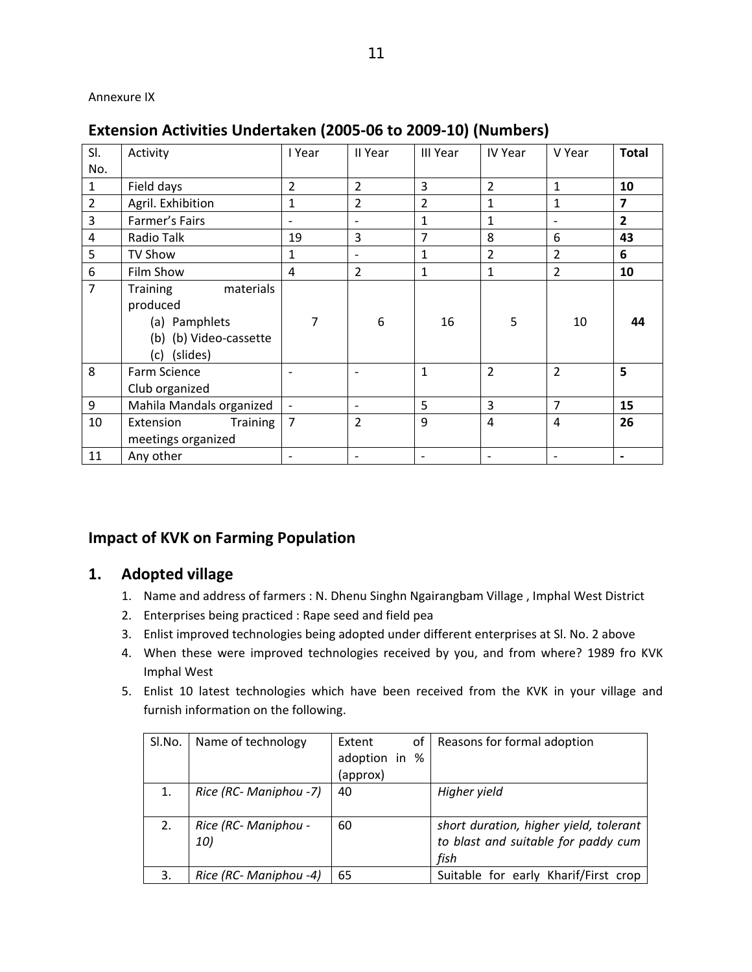### Annexure IX

# **Extension Activities Undertaken (2005‐06 to 2009‐10) (Numbers)**

| SI.            | Activity                                                                                            | I Year         | II Year                  | III Year       | <b>IV Year</b>           | V Year                   | <b>Total</b>            |
|----------------|-----------------------------------------------------------------------------------------------------|----------------|--------------------------|----------------|--------------------------|--------------------------|-------------------------|
| No.            |                                                                                                     |                |                          |                |                          |                          |                         |
| $\mathbf{1}$   | Field days                                                                                          | $\overline{2}$ | $\overline{2}$           | 3              | $\overline{2}$           | $\mathbf{1}$             | 10                      |
| $\overline{2}$ | Agril. Exhibition                                                                                   | $\mathbf{1}$   | $\overline{2}$           | $\overline{2}$ | $\mathbf{1}$             | $\mathbf{1}$             | $\overline{\mathbf{z}}$ |
| 3              | Farmer's Fairs                                                                                      |                | $\overline{\phantom{a}}$ | $\mathbf{1}$   | $\mathbf{1}$             | $\overline{\phantom{a}}$ | $\overline{2}$          |
| 4              | Radio Talk                                                                                          | 19             | 3                        | $\overline{7}$ | 8                        | 6                        | 43                      |
| 5              | TV Show                                                                                             | $\mathbf{1}$   | $\overline{\phantom{a}}$ | $\mathbf{1}$   | $\overline{2}$           | $\overline{2}$           | 6                       |
| 6              | Film Show                                                                                           | 4              | $\overline{2}$           | $\mathbf{1}$   | $\mathbf{1}$             | $\overline{2}$           | 10                      |
| $\overline{7}$ | <b>Training</b><br>materials<br>produced<br>(a) Pamphlets<br>(b) (b) Video-cassette<br>(c) (slides) | 7              | 6                        | 16             | 5                        | 10                       | 44                      |
| 8              | Farm Science<br>Club organized                                                                      |                |                          | $\mathbf{1}$   | $\overline{2}$           | $\overline{2}$           | 5                       |
| 9              | Mahila Mandals organized                                                                            |                | $\overline{\phantom{a}}$ | 5              | $\overline{3}$           | 7                        | 15                      |
| 10             | <b>Training</b><br>Extension<br>meetings organized                                                  | $\overline{7}$ | $\overline{2}$           | 9              | $\overline{a}$           | $\overline{a}$           | 26                      |
| 11             | Any other                                                                                           |                | $\overline{\phantom{a}}$ |                | $\overline{\phantom{a}}$ |                          | $\blacksquare$          |

# **Impact of KVK on Farming Population**

- 1. Name and address of farmers : N. Dhenu Singhn Ngairangbam Village , Imphal West District
- 2. Enterprises being practiced : Rape seed and field pea
- 3. Enlist improved technologies being adopted under different enterprises at Sl. No. 2 above
- 4. When these were improved technologies received by you, and from where? 1989 fro KVK Imphal West
- 5. Enlist 10 latest technologies which have been received from the KVK in your village and furnish information on the following.

| SI.No. | Name of technology     | of<br>Extent  | Reasons for formal adoption            |
|--------|------------------------|---------------|----------------------------------------|
|        |                        | adoption in % |                                        |
|        |                        | (approx)      |                                        |
|        | Rice (RC- Maniphou -7) | 40            | Higher yield                           |
|        |                        |               |                                        |
| 2.     | Rice (RC- Maniphou -   | 60            | short duration, higher yield, tolerant |
|        | 10)                    |               | to blast and suitable for paddy cum    |
|        |                        |               | fish                                   |
| 3.     | Rice (RC- Maniphou -4) | 65            | Suitable for early Kharif/First crop   |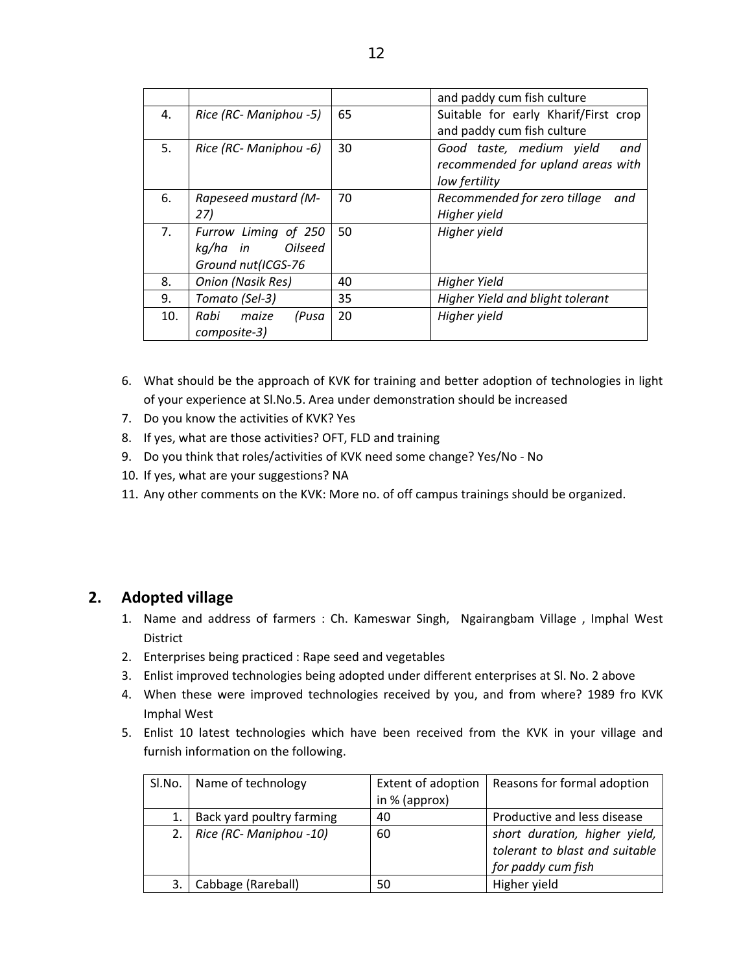|     |                            |    | and paddy cum fish culture           |
|-----|----------------------------|----|--------------------------------------|
| 4.  | Rice (RC- Maniphou -5)     | 65 | Suitable for early Kharif/First crop |
|     |                            |    | and paddy cum fish culture           |
| 5.  | Rice (RC- Maniphou -6)     | 30 | Good taste, medium yield<br>and      |
|     |                            |    | recommended for upland areas with    |
|     |                            |    | low fertility                        |
| 6.  | Rapeseed mustard (M-       | 70 | Recommended for zero tillage<br>and  |
|     | 27)                        |    | Higher yield                         |
| 7.  | Furrow Liming of 250       | 50 | Higher yield                         |
|     | <b>Oilseed</b><br>kq/ha in |    |                                      |
|     | Ground nut(ICGS-76         |    |                                      |
| 8.  | Onion (Nasik Res)          | 40 | Higher Yield                         |
| 9.  | Tomato (Sel-3)             | 35 | Higher Yield and blight tolerant     |
| 10. | Rabi maize<br>(Pusa        | 20 | Higher yield                         |
|     | composite-3)               |    |                                      |

- 6. What should be the approach of KVK for training and better adoption of technologies in light of your experience at Sl.No.5. Area under demonstration should be increased
- 7. Do you know the activities of KVK? Yes
- 8. If yes, what are those activities? OFT, FLD and training
- 9. Do you think that roles/activities of KVK need some change? Yes/No ‐ No
- 10. If yes, what are your suggestions? NA
- 11. Any other comments on the KVK: More no. of off campus trainings should be organized.

- 1. Name and address of farmers : Ch. Kameswar Singh, Ngairangbam Village, Imphal West District
- 2. Enterprises being practiced : Rape seed and vegetables
- 3. Enlist improved technologies being adopted under different enterprises at Sl. No. 2 above
- 4. When these were improved technologies received by you, and from where? 1989 fro KVK Imphal West
- 5. Enlist 10 latest technologies which have been received from the KVK in your village and furnish information on the following.

| SI.No. | Name of technology        | Extent of adoption | Reasons for formal adoption                                                           |
|--------|---------------------------|--------------------|---------------------------------------------------------------------------------------|
|        |                           | in $%$ (approx)    |                                                                                       |
|        | Back yard poultry farming | 40                 | Productive and less disease                                                           |
| 2.1    | Rice (RC- Maniphou -10)   | 60                 | short duration, higher yield,<br>tolerant to blast and suitable<br>for paddy cum fish |
| 3.     | Cabbage (Rareball)        | 50                 | Higher yield                                                                          |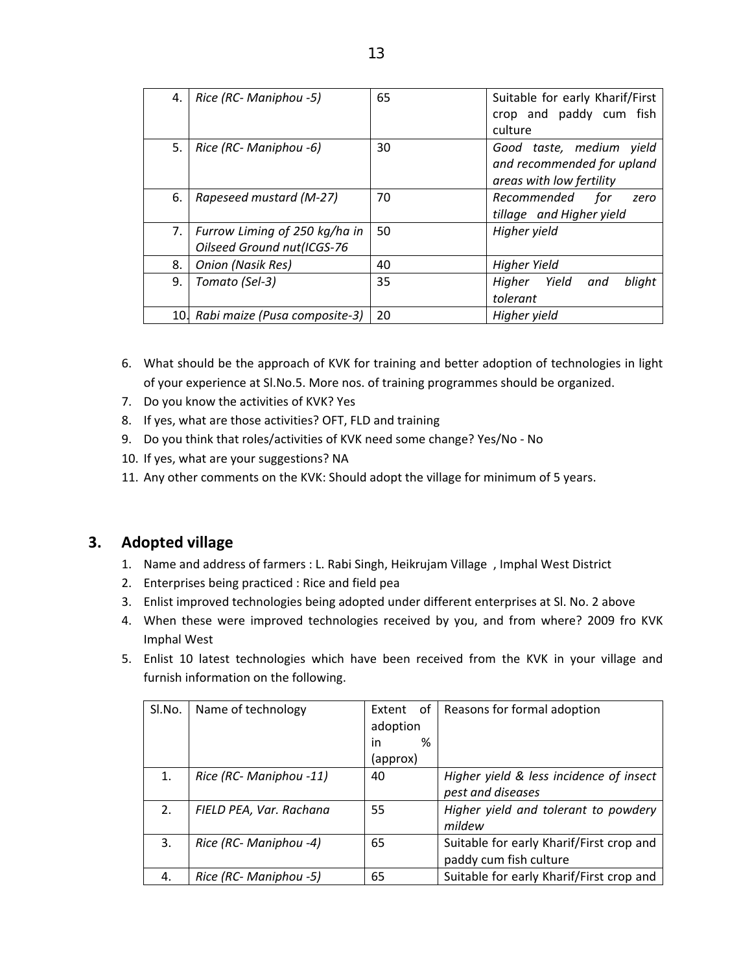| 4. | Rice (RC- Maniphou -5)                                      | 65 | Suitable for early Kharif/First<br>crop and paddy cum fish<br>culture              |
|----|-------------------------------------------------------------|----|------------------------------------------------------------------------------------|
| 5. | Rice (RC- Maniphou -6)                                      | 30 | Good taste, medium yield<br>and recommended for upland<br>areas with low fertility |
| 6. | Rapeseed mustard (M-27)                                     | 70 | Recommended<br>for<br>zero<br>tillage and Higher yield                             |
| 7. | Furrow Liming of 250 kg/ha in<br>Oilseed Ground nut(ICGS-76 | 50 | Higher yield                                                                       |
| 8. | <b>Onion (Nasik Res)</b>                                    | 40 | <b>Higher Yield</b>                                                                |
| 9. | Tomato (Sel-3)                                              | 35 | Yield<br>blight<br>Higher<br>and<br>tolerant                                       |
|    | 10. Rabi maize (Pusa composite-3)                           | 20 | Higher yield                                                                       |

- 6. What should be the approach of KVK for training and better adoption of technologies in light of your experience at Sl.No.5. More nos. of training programmes should be organized.
- 7. Do you know the activities of KVK? Yes
- 8. If yes, what are those activities? OFT, FLD and training
- 9. Do you think that roles/activities of KVK need some change? Yes/No No
- 10. If yes, what are your suggestions? NA
- 11. Any other comments on the KVK: Should adopt the village for minimum of 5 years.

- 1. Name and address of farmers : L. Rabi Singh, Heikrujam Village , Imphal West District
- 2. Enterprises being practiced : Rice and field pea
- 3. Enlist improved technologies being adopted under different enterprises at Sl. No. 2 above
- 4. When these were improved technologies received by you, and from where? 2009 fro KVK Imphal West
- 5. Enlist 10 latest technologies which have been received from the KVK in your village and furnish information on the following.

| SI.No. | Name of technology      | of<br>Extent | Reasons for formal adoption              |
|--------|-------------------------|--------------|------------------------------------------|
|        |                         | adoption     |                                          |
|        |                         | %<br>in      |                                          |
|        |                         | (approx)     |                                          |
| 1.     | Rice (RC- Maniphou -11) | 40           | Higher yield & less incidence of insect  |
|        |                         |              | pest and diseases                        |
| 2.     | FIELD PEA, Var. Rachana | 55           | Higher yield and tolerant to powdery     |
|        |                         |              | mildew                                   |
| 3.     | Rice (RC- Maniphou -4)  | 65           | Suitable for early Kharif/First crop and |
|        |                         |              | paddy cum fish culture                   |
| 4.     | Rice (RC- Maniphou -5)  | 65           | Suitable for early Kharif/First crop and |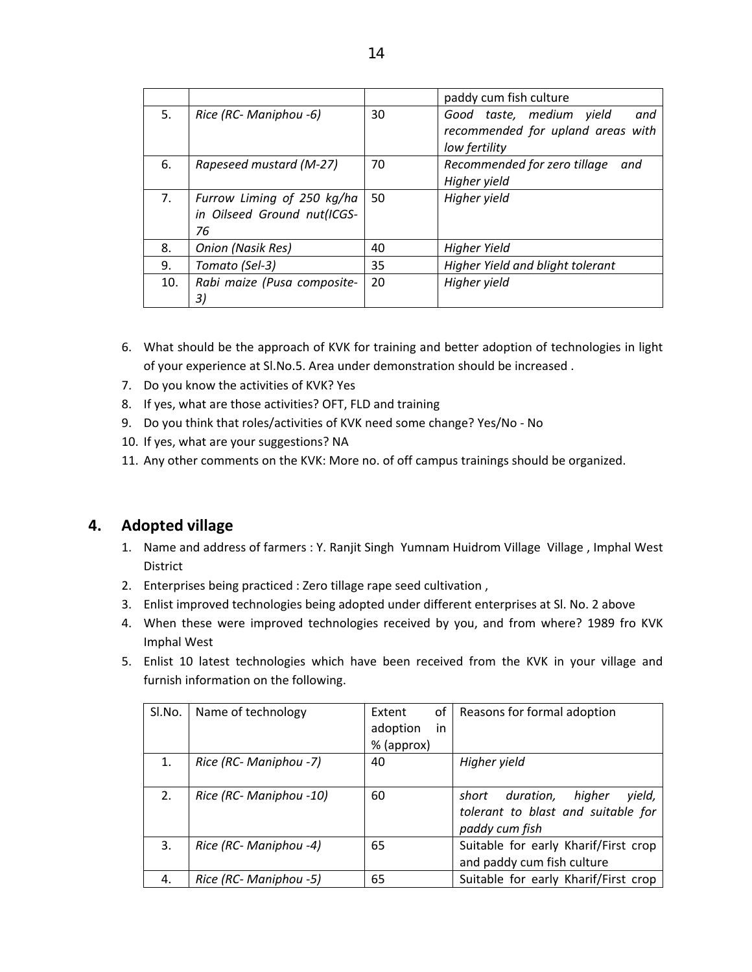|     |                                                                 |    | paddy cum fish culture                                                                |
|-----|-----------------------------------------------------------------|----|---------------------------------------------------------------------------------------|
| 5.  | Rice (RC- Maniphou -6)                                          | 30 | Good taste, medium yield<br>and<br>recommended for upland areas with<br>low fertility |
| 6.  | Rapeseed mustard (M-27)                                         | 70 | Recommended for zero tillage<br>and<br>Higher yield                                   |
| 7.  | Furrow Liming of 250 kg/ha<br>in Oilseed Ground nut(ICGS-<br>76 | 50 | Higher yield                                                                          |
| 8.  | <b>Onion (Nasik Res)</b>                                        | 40 | <b>Higher Yield</b>                                                                   |
| 9.  | Tomato (Sel-3)                                                  | 35 | Higher Yield and blight tolerant                                                      |
| 10. | Rabi maize (Pusa composite-<br>3)                               | 20 | Higher yield                                                                          |

- 6. What should be the approach of KVK for training and better adoption of technologies in light of your experience at Sl.No.5. Area under demonstration should be increased .
- 7. Do you know the activities of KVK? Yes
- 8. If yes, what are those activities? OFT, FLD and training
- 9. Do you think that roles/activities of KVK need some change? Yes/No No
- 10. If yes, what are your suggestions? NA
- 11. Any other comments on the KVK: More no. of off campus trainings should be organized.

- 1. Name and address of farmers : Y. Ranjit Singh Yumnam Huidrom Village Village , Imphal West District
- 2. Enterprises being practiced : Zero tillage rape seed cultivation ,
- 3. Enlist improved technologies being adopted under different enterprises at Sl. No. 2 above
- 4. When these were improved technologies received by you, and from where? 1989 fro KVK Imphal West
- 5. Enlist 10 latest technologies which have been received from the KVK in your village and furnish information on the following.

| SI.No. | Name of technology      | οf<br>Extent   | Reasons for formal adoption            |
|--------|-------------------------|----------------|----------------------------------------|
|        |                         | in<br>adoption |                                        |
|        |                         | % (approx)     |                                        |
| 1.     | Rice (RC- Maniphou -7)  | 40             | Higher yield                           |
|        |                         |                |                                        |
| 2.     | Rice (RC- Maniphou -10) | 60             | higher<br>duration,<br>yield,<br>short |
|        |                         |                | tolerant to blast and suitable for     |
|        |                         |                | paddy cum fish                         |
| 3.     | Rice (RC- Maniphou -4)  | 65             | Suitable for early Kharif/First crop   |
|        |                         |                | and paddy cum fish culture             |
| 4.     | Rice (RC- Maniphou -5)  | 65             | Suitable for early Kharif/First crop   |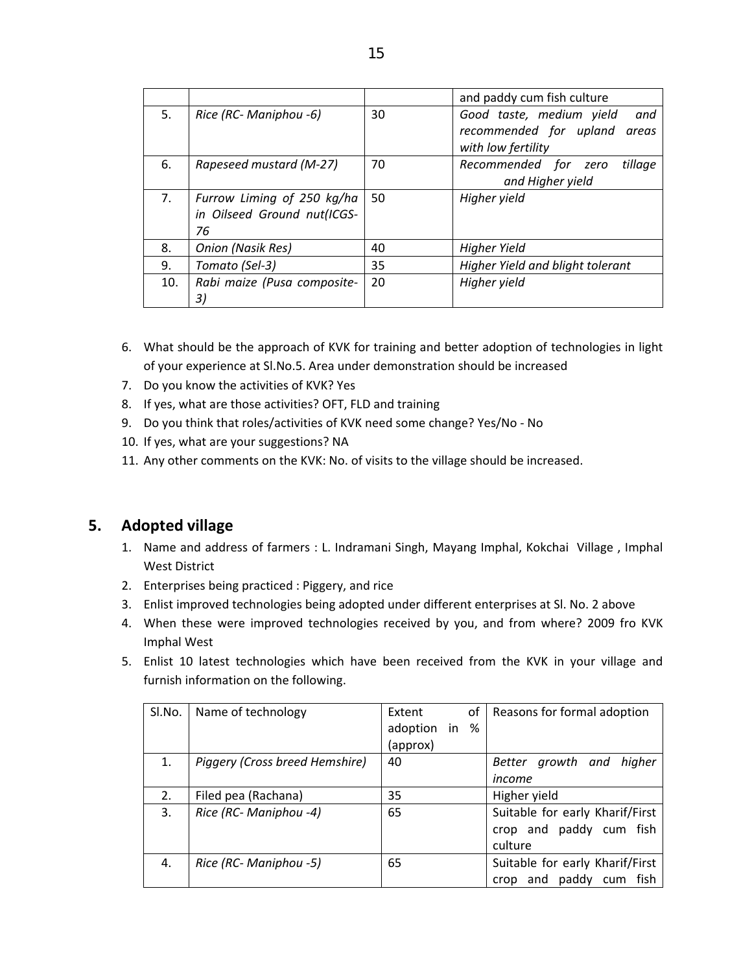|     |                                                                 |    | and paddy cum fish culture                                                               |  |  |
|-----|-----------------------------------------------------------------|----|------------------------------------------------------------------------------------------|--|--|
| 5.  | Rice (RC- Maniphou -6)                                          | 30 | Good taste, medium yield<br>and<br>recommended for upland<br>areas<br>with low fertility |  |  |
| 6.  | Rapeseed mustard (M-27)                                         | 70 | Recommended for zero<br>tillage<br>and Higher yield                                      |  |  |
| 7.  | Furrow Liming of 250 kg/ha<br>in Oilseed Ground nut(ICGS-<br>76 | 50 | Higher yield                                                                             |  |  |
| 8.  | Onion (Nasik Res)                                               | 40 | Higher Yield                                                                             |  |  |
| 9.  | Tomato (Sel-3)                                                  | 35 | Higher Yield and blight tolerant                                                         |  |  |
| 10. | Rabi maize (Pusa composite-<br>3)                               | 20 | Higher yield                                                                             |  |  |

- 6. What should be the approach of KVK for training and better adoption of technologies in light of your experience at Sl.No.5. Area under demonstration should be increased
- 7. Do you know the activities of KVK? Yes
- 8. If yes, what are those activities? OFT, FLD and training
- 9. Do you think that roles/activities of KVK need some change? Yes/No No
- 10. If yes, what are your suggestions? NA
- 11. Any other comments on the KVK: No. of visits to the village should be increased.

- 1. Name and address of farmers : L. Indramani Singh, Mayang Imphal, Kokchai Village , Imphal West District
- 2. Enterprises being practiced : Piggery, and rice
- 3. Enlist improved technologies being adopted under different enterprises at Sl. No. 2 above
- 4. When these were improved technologies received by you, and from where? 2009 fro KVK Imphal West
- 5. Enlist 10 latest technologies which have been received from the KVK in your village and furnish information on the following.

| SI.No. | Name of technology             | Extent      | οf | Reasons for formal adoption     |
|--------|--------------------------------|-------------|----|---------------------------------|
|        |                                | adoption in | %  |                                 |
|        |                                | (approx)    |    |                                 |
| 1.     | Piggery (Cross breed Hemshire) | 40          |    | Better growth and<br>higher     |
|        |                                |             |    | income                          |
| 2.     | Filed pea (Rachana)            | 35          |    | Higher yield                    |
| 3.     | Rice (RC- Maniphou -4)         | 65          |    | Suitable for early Kharif/First |
|        |                                |             |    | crop and paddy cum fish         |
|        |                                |             |    | culture                         |
| 4.     | Rice (RC- Maniphou -5)         | 65          |    | Suitable for early Kharif/First |
|        |                                |             |    | and paddy cum<br>fish<br>crop   |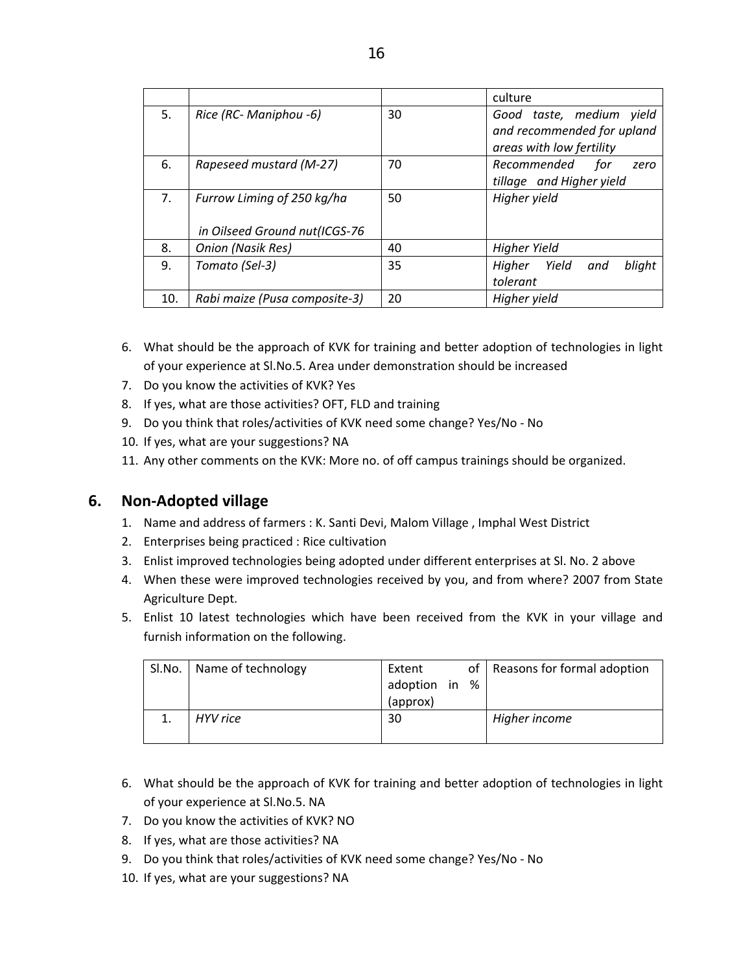|     |                               |    | culture                                                |
|-----|-------------------------------|----|--------------------------------------------------------|
| 5.  | Rice (RC- Maniphou -6)        | 30 | Good taste, medium yield<br>and recommended for upland |
|     |                               |    | areas with low fertility                               |
| 6.  | Rapeseed mustard (M-27)       | 70 | Recommended<br>for<br>zero                             |
|     |                               |    | tillage and Higher yield                               |
| 7.  | Furrow Liming of 250 kg/ha    | 50 | Higher yield                                           |
|     | in Oilseed Ground nut(ICGS-76 |    |                                                        |
| 8.  | Onion (Nasik Res)             | 40 | <b>Higher Yield</b>                                    |
| 9.  | Tomato (Sel-3)                | 35 | Higher Yield<br>blight<br>and                          |
|     |                               |    | tolerant                                               |
| 10. | Rabi maize (Pusa composite-3) | 20 | Higher yield                                           |

- 6. What should be the approach of KVK for training and better adoption of technologies in light of your experience at Sl.No.5. Area under demonstration should be increased
- 7. Do you know the activities of KVK? Yes
- 8. If yes, what are those activities? OFT, FLD and training
- 9. Do you think that roles/activities of KVK need some change? Yes/No No
- 10. If yes, what are your suggestions? NA
- 11. Any other comments on the KVK: More no. of off campus trainings should be organized.

# **6. Non‐Adopted village**

- 1. Name and address of farmers : K. Santi Devi, Malom Village , Imphal West District
- 2. Enterprises being practiced : Rice cultivation
- 3. Enlist improved technologies being adopted under different enterprises at Sl. No. 2 above
- 4. When these were improved technologies received by you, and from where? 2007 from State Agriculture Dept.
- 5. Enlist 10 latest technologies which have been received from the KVK in your village and furnish information on the following.

| SI.No.   Name of technology | Extent<br>adoption in<br>(approx) | % | of   Reasons for formal adoption |
|-----------------------------|-----------------------------------|---|----------------------------------|
| HYV rice                    | 30                                |   | Higher income                    |

- 6. What should be the approach of KVK for training and better adoption of technologies in light of your experience at Sl.No.5. NA
- 7. Do you know the activities of KVK? NO
- 8. If yes, what are those activities? NA
- 9. Do you think that roles/activities of KVK need some change? Yes/No No
- 10. If yes, what are your suggestions? NA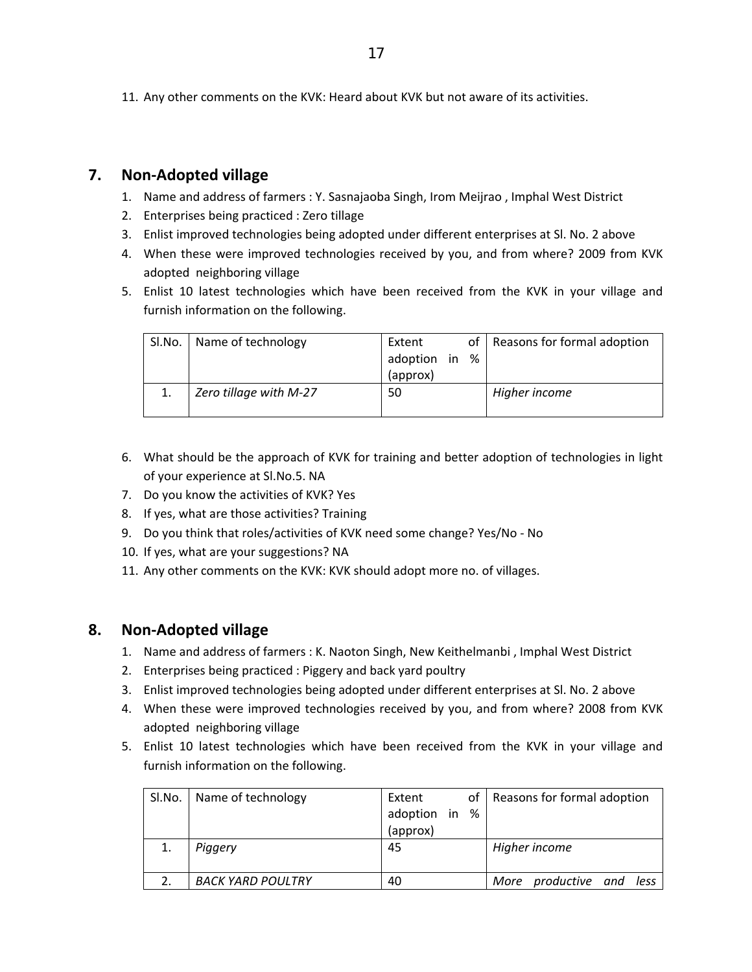11. Any other comments on the KVK: Heard about KVK but not aware of its activities.

# **7. Non‐Adopted village**

- 1. Name and address of farmers : Y. Sasnajaoba Singh, Irom Meijrao , Imphal West District
- 2. Enterprises being practiced : Zero tillage
- 3. Enlist improved technologies being adopted under different enterprises at Sl. No. 2 above
- 4. When these were improved technologies received by you, and from where? 2009 from KVK adopted neighboring village
- 5. Enlist 10 latest technologies which have been received from the KVK in your village and furnish information on the following.

| SI.No. | Name of technology     | Extent<br>adoption in<br>%<br>(approx) | Reasons for formal adoption<br>of I |  |
|--------|------------------------|----------------------------------------|-------------------------------------|--|
|        | Zero tillage with M-27 | 50                                     | Higher income                       |  |

- 6. What should be the approach of KVK for training and better adoption of technologies in light of your experience at Sl.No.5. NA
- 7. Do you know the activities of KVK? Yes
- 8. If yes, what are those activities? Training
- 9. Do you think that roles/activities of KVK need some change? Yes/No No
- 10. If yes, what are your suggestions? NA
- 11. Any other comments on the KVK: KVK should adopt more no. of villages.

## **8. Non‐Adopted village**

- 1. Name and address of farmers : K. Naoton Singh, New Keithelmanbi , Imphal West District
- 2. Enterprises being practiced : Piggery and back yard poultry
- 3. Enlist improved technologies being adopted under different enterprises at Sl. No. 2 above
- 4. When these were improved technologies received by you, and from where? 2008 from KVK adopted neighboring village
- 5. Enlist 10 latest technologies which have been received from the KVK in your village and furnish information on the following.

| SI.No.   Name of technology | Extent<br>adoption in %<br>(approx) | of   Reasons for formal adoption |
|-----------------------------|-------------------------------------|----------------------------------|
| Piggery                     | 45                                  | Higher income                    |
| <b>BACK YARD POULTRY</b>    | 40                                  | productive and less<br>More      |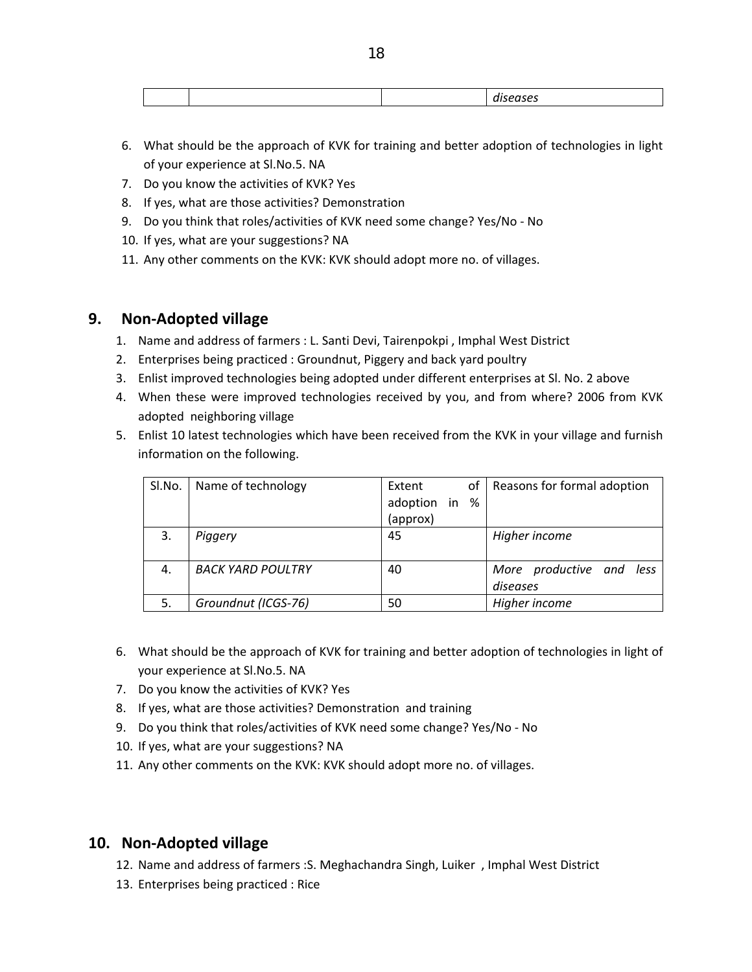- 6. What should be the approach of KVK for training and better adoption of technologies in light of your experience at Sl.No.5. NA
- 7. Do you know the activities of KVK? Yes
- 8. If yes, what are those activities? Demonstration
- 9. Do you think that roles/activities of KVK need some change? Yes/No No
- 10. If yes, what are your suggestions? NA
- 11. Any other comments on the KVK: KVK should adopt more no. of villages.

## **9. Non‐Adopted village**

- 1. Name and address of farmers : L. Santi Devi, Tairenpokpi , Imphal West District
- 2. Enterprises being practiced : Groundnut, Piggery and back yard poultry
- 3. Enlist improved technologies being adopted under different enterprises at Sl. No. 2 above
- 4. When these were improved technologies received by you, and from where? 2006 from KVK adopted neighboring village
- 5. Enlist 10 latest technologies which have been received from the KVK in your village and furnish information on the following.

| SI.No. | Name of technology       | of<br>Extent     | Reasons for formal adoption          |
|--------|--------------------------|------------------|--------------------------------------|
|        |                          | adoption in<br>% |                                      |
|        |                          | (approx)         |                                      |
| 3.     | Piggery                  | 45               | Higher income                        |
| 4.     | <b>BACK YARD POULTRY</b> | 40               | More productive and less<br>diseases |
| 5.     | Groundnut (ICGS-76)      | 50               | Higher income                        |

- 6. What should be the approach of KVK for training and better adoption of technologies in light of your experience at Sl.No.5. NA
- 7. Do you know the activities of KVK? Yes
- 8. If yes, what are those activities? Demonstration and training
- 9. Do you think that roles/activities of KVK need some change? Yes/No No
- 10. If yes, what are your suggestions? NA
- 11. Any other comments on the KVK: KVK should adopt more no. of villages.

## **10. Non‐Adopted village**

- 12. Name and address of farmers :S. Meghachandra Singh, Luiker , Imphal West District
- 13. Enterprises being practiced : Rice